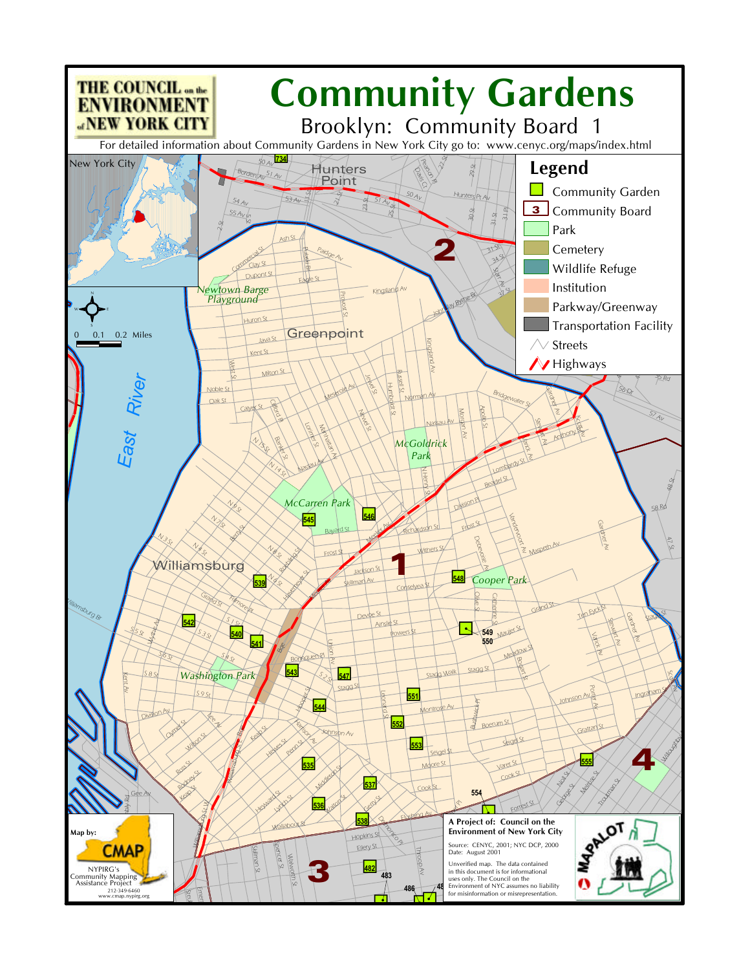